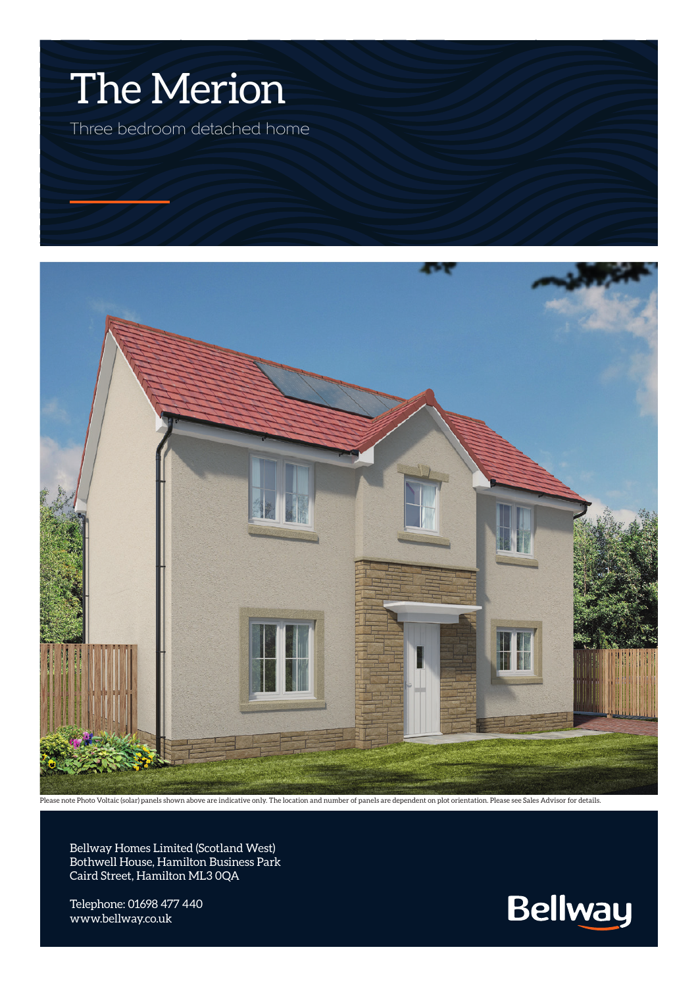

Three bedroom detached home



Please note Photo Voltaic (solar) panels shown above are indicative only. The location and number of panels are dependent on plot orientation. Please see Sales Advisor for details.

Bellway Homes Limited (Scotland West) Bothwell House, Hamilton Business Park Caird Street, Hamilton ML3 0QA

Telephone: 01698 477 440 www.bellway.co.uk